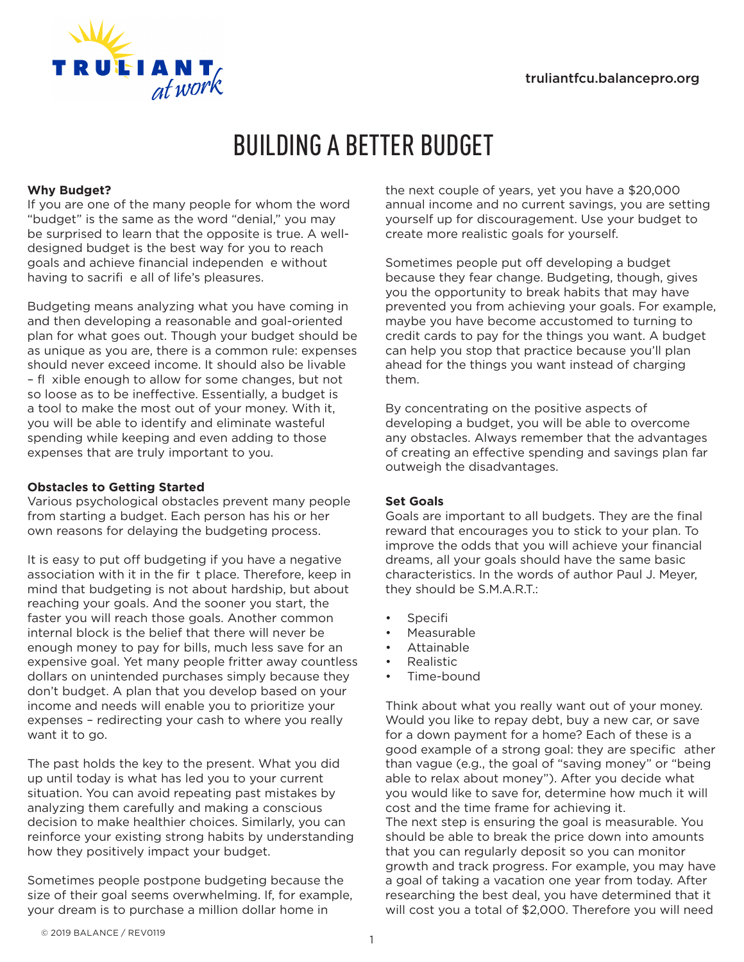

# BUILDING A BETTER BUDGET

# **Why Budget?**

If you are one of the many people for whom the word "budget" is the same as the word "denial," you may be surprised to learn that the opposite is true. A welldesigned budget is the best way for you to reach goals and achieve financial independen e without having to sacrifi e all of life's pleasures.

Budgeting means analyzing what you have coming in and then developing a reasonable and goal-oriented plan for what goes out. Though your budget should be as unique as you are, there is a common rule: expenses should never exceed income. It should also be livable – fl xible enough to allow for some changes, but not so loose as to be ineffective. Essentially, a budget is a tool to make the most out of your money. With it, you will be able to identify and eliminate wasteful spending while keeping and even adding to those expenses that are truly important to you.

# **Obstacles to Getting Started**

Various psychological obstacles prevent many people from starting a budget. Each person has his or her own reasons for delaying the budgeting process.

It is easy to put off budgeting if you have a negative association with it in the fir t place. Therefore, keep in mind that budgeting is not about hardship, but about reaching your goals. And the sooner you start, the faster you will reach those goals. Another common internal block is the belief that there will never be enough money to pay for bills, much less save for an expensive goal. Yet many people fritter away countless dollars on unintended purchases simply because they don't budget. A plan that you develop based on your income and needs will enable you to prioritize your expenses – redirecting your cash to where you really want it to go.

The past holds the key to the present. What you did up until today is what has led you to your current situation. You can avoid repeating past mistakes by analyzing them carefully and making a conscious decision to make healthier choices. Similarly, you can reinforce your existing strong habits by understanding how they positively impact your budget.

Sometimes people postpone budgeting because the size of their goal seems overwhelming. If, for example, your dream is to purchase a million dollar home in

the next couple of years, yet you have a \$20,000 annual income and no current savings, you are setting yourself up for discouragement. Use your budget to create more realistic goals for yourself.

Sometimes people put off developing a budget because they fear change. Budgeting, though, gives you the opportunity to break habits that may have prevented you from achieving your goals. For example, maybe you have become accustomed to turning to credit cards to pay for the things you want. A budget can help you stop that practice because you'll plan ahead for the things you want instead of charging them.

By concentrating on the positive aspects of developing a budget, you will be able to overcome any obstacles. Always remember that the advantages of creating an effective spending and savings plan far outweigh the disadvantages.

# **Set Goals**

Goals are important to all budgets. They are the final reward that encourages you to stick to your plan. To improve the odds that you will achieve your financial dreams, all your goals should have the same basic characteristics. In the words of author Paul J. Meyer, they should be S.M.A.R.T.:

- **Specifi**
- Measurable
- Attainable
- Realistic
- Time-bound

Think about what you really want out of your money. Would you like to repay debt, buy a new car, or save for a down payment for a home? Each of these is a good example of a strong goal: they are specific ather than vague (e.g., the goal of "saving money" or "being able to relax about money"). After you decide what you would like to save for, determine how much it will cost and the time frame for achieving it. The next step is ensuring the goal is measurable. You should be able to break the price down into amounts that you can regularly deposit so you can monitor growth and track progress. For example, you may have a goal of taking a vacation one year from today. After researching the best deal, you have determined that it will cost you a total of \$2,000. Therefore you will need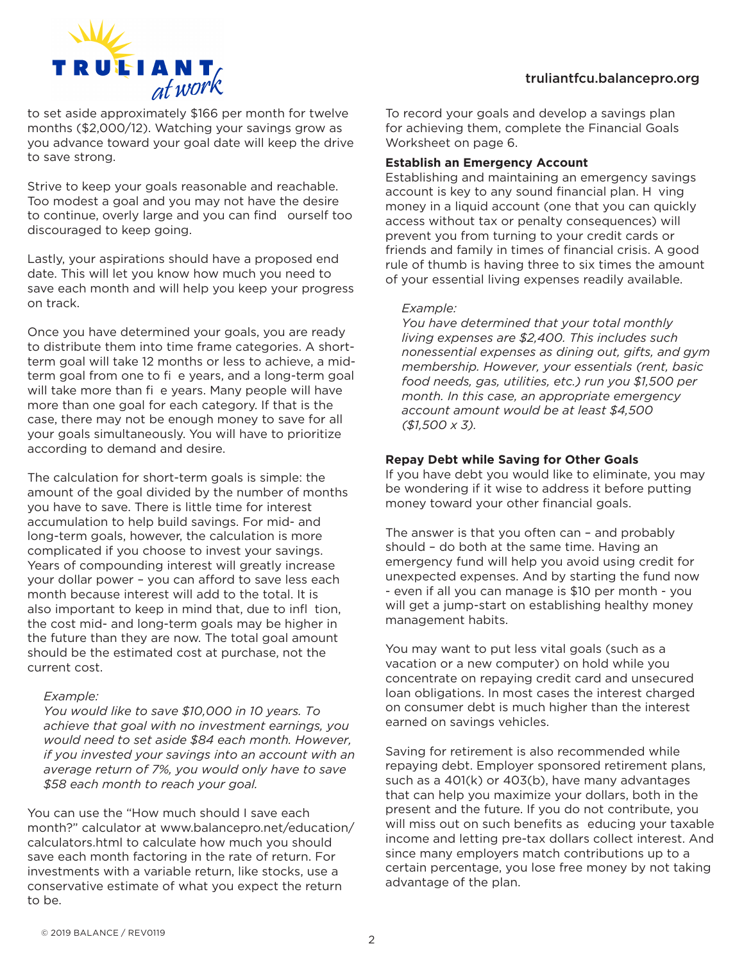

to set aside approximately \$166 per month for twelve months (\$2,000/12). Watching your savings grow as you advance toward your goal date will keep the drive to save strong.

Strive to keep your goals reasonable and reachable. Too modest a goal and you may not have the desire to continue, overly large and you can find ourself too discouraged to keep going.

Lastly, your aspirations should have a proposed end date. This will let you know how much you need to save each month and will help you keep your progress on track.

Once you have determined your goals, you are ready to distribute them into time frame categories. A shortterm goal will take 12 months or less to achieve, a midterm goal from one to fi e years, and a long-term goal will take more than fi e years. Many people will have more than one goal for each category. If that is the case, there may not be enough money to save for all your goals simultaneously. You will have to prioritize according to demand and desire.

The calculation for short-term goals is simple: the amount of the goal divided by the number of months you have to save. There is little time for interest accumulation to help build savings. For mid- and long-term goals, however, the calculation is more complicated if you choose to invest your savings. Years of compounding interest will greatly increase your dollar power – you can afford to save less each month because interest will add to the total. It is also important to keep in mind that, due to infl tion, the cost mid- and long-term goals may be higher in the future than they are now. The total goal amount should be the estimated cost at purchase, not the current cost.

#### *Example:*

*You would like to save \$10,000 in 10 years. To achieve that goal with no investment earnings, you would need to set aside \$84 each month. However, if you invested your savings into an account with an average return of 7%, you would only have to save \$58 each month to reach your goal.* 

You can use the "How much should I save each month?" calculator at www.balancepro.net/education/ calculators.html to calculate how much you should save each month factoring in the rate of return. For investments with a variable return, like stocks, use a conservative estimate of what you expect the return to be.

To record your goals and develop a savings plan for achieving them, complete the Financial Goals Worksheet on page 6.

#### **Establish an Emergency Account**

Establishing and maintaining an emergency savings account is key to any sound financial plan. H ving money in a liquid account (one that you can quickly access without tax or penalty consequences) will prevent you from turning to your credit cards or friends and family in times of financial crisis. A good rule of thumb is having three to six times the amount of your essential living expenses readily available.

#### *Example:*

*You have determined that your total monthly living expenses are \$2,400. This includes such nonessential expenses as dining out, gifts, and gym membership. However, your essentials (rent, basic food needs, gas, utilities, etc.) run you \$1,500 per month. In this case, an appropriate emergency account amount would be at least \$4,500 (\$1,500 x 3).* 

# **Repay Debt while Saving for Other Goals**

If you have debt you would like to eliminate, you may be wondering if it wise to address it before putting money toward your other financial goals.

The answer is that you often can – and probably should – do both at the same time. Having an emergency fund will help you avoid using credit for unexpected expenses. And by starting the fund now - even if all you can manage is \$10 per month - you will get a jump-start on establishing healthy money management habits.

You may want to put less vital goals (such as a vacation or a new computer) on hold while you concentrate on repaying credit card and unsecured loan obligations. In most cases the interest charged on consumer debt is much higher than the interest earned on savings vehicles.

Saving for retirement is also recommended while repaying debt. Employer sponsored retirement plans, such as a 401(k) or 403(b), have many advantages that can help you maximize your dollars, both in the present and the future. If you do not contribute, you will miss out on such benefits as educing your taxable income and letting pre-tax dollars collect interest. And since many employers match contributions up to a certain percentage, you lose free money by not taking advantage of the plan.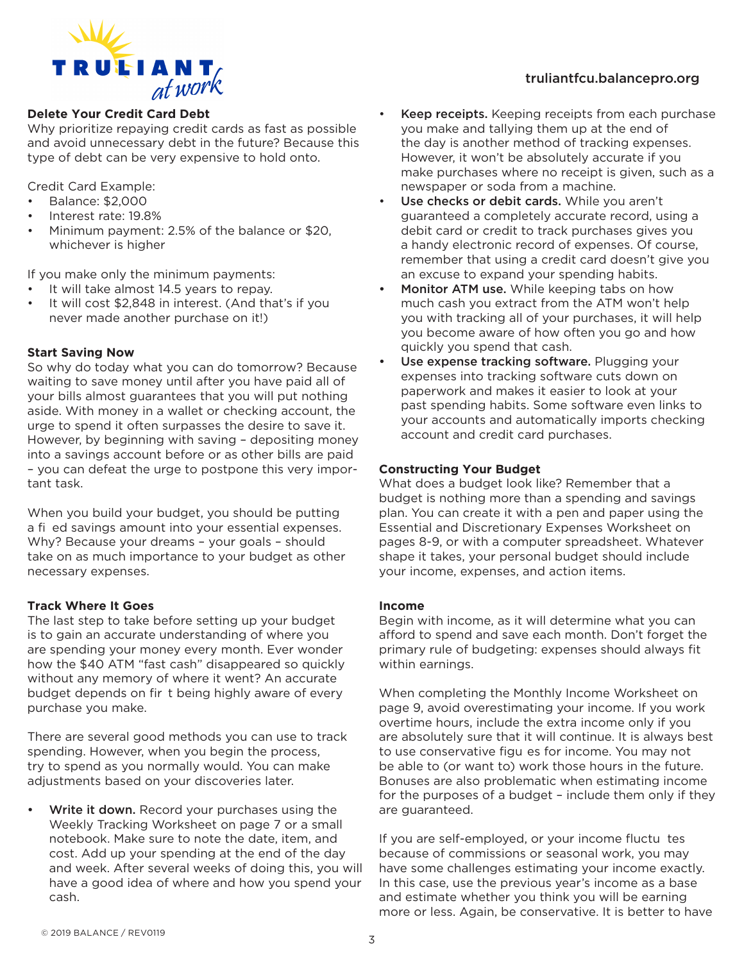

# **Delete Your Credit Card Debt**

Why prioritize repaying credit cards as fast as possible and avoid unnecessary debt in the future? Because this type of debt can be very expensive to hold onto.

Credit Card Example:

- Balance: \$2,000
- Interest rate: 19.8%
- Minimum payment: 2.5% of the balance or \$20, whichever is higher

If you make only the minimum payments:

- It will take almost 14.5 years to repay.
- It will cost \$2,848 in interest. (And that's if you never made another purchase on it!)

# **Start Saving Now**

So why do today what you can do tomorrow? Because waiting to save money until after you have paid all of your bills almost guarantees that you will put nothing aside. With money in a wallet or checking account, the urge to spend it often surpasses the desire to save it. However, by beginning with saving – depositing money into a savings account before or as other bills are paid – you can defeat the urge to postpone this very important task.

When you build your budget, you should be putting a fi ed savings amount into your essential expenses. Why? Because your dreams – your goals – should take on as much importance to your budget as other necessary expenses.

#### **Track Where It Goes**

The last step to take before setting up your budget is to gain an accurate understanding of where you are spending your money every month. Ever wonder how the \$40 ATM "fast cash" disappeared so quickly without any memory of where it went? An accurate budget depends on fir t being highly aware of every purchase you make.

There are several good methods you can use to track spending. However, when you begin the process, try to spend as you normally would. You can make adjustments based on your discoveries later.

Write it down. Record your purchases using the Weekly Tracking Worksheet on page 7 or a small notebook. Make sure to note the date, item, and cost. Add up your spending at the end of the day and week. After several weeks of doing this, you will have a good idea of where and how you spend your cash.

- Keep receipts. Keeping receipts from each purchase you make and tallying them up at the end of the day is another method of tracking expenses. However, it won't be absolutely accurate if you make purchases where no receipt is given, such as a newspaper or soda from a machine.
- Use checks or debit cards. While you aren't guaranteed a completely accurate record, using a debit card or credit to track purchases gives you a handy electronic record of expenses. Of course, remember that using a credit card doesn't give you an excuse to expand your spending habits.
- Monitor ATM use. While keeping tabs on how much cash you extract from the ATM won't help you with tracking all of your purchases, it will help you become aware of how often you go and how quickly you spend that cash.
- Use expense tracking software. Plugging your expenses into tracking software cuts down on paperwork and makes it easier to look at your past spending habits. Some software even links to your accounts and automatically imports checking account and credit card purchases.

#### **Constructing Your Budget**

What does a budget look like? Remember that a budget is nothing more than a spending and savings plan. You can create it with a pen and paper using the Essential and Discretionary Expenses Worksheet on pages 8-9, or with a computer spreadsheet. Whatever shape it takes, your personal budget should include your income, expenses, and action items.

#### **Income**

Begin with income, as it will determine what you can afford to spend and save each month. Don't forget the primary rule of budgeting: expenses should always fit within earnings.

When completing the Monthly Income Worksheet on page 9, avoid overestimating your income. If you work overtime hours, include the extra income only if you are absolutely sure that it will continue. It is always best to use conservative figu es for income. You may not be able to (or want to) work those hours in the future. Bonuses are also problematic when estimating income for the purposes of a budget – include them only if they are guaranteed.

If you are self-employed, or your income fluctu tes because of commissions or seasonal work, you may have some challenges estimating your income exactly. In this case, use the previous year's income as a base and estimate whether you think you will be earning more or less. Again, be conservative. It is better to have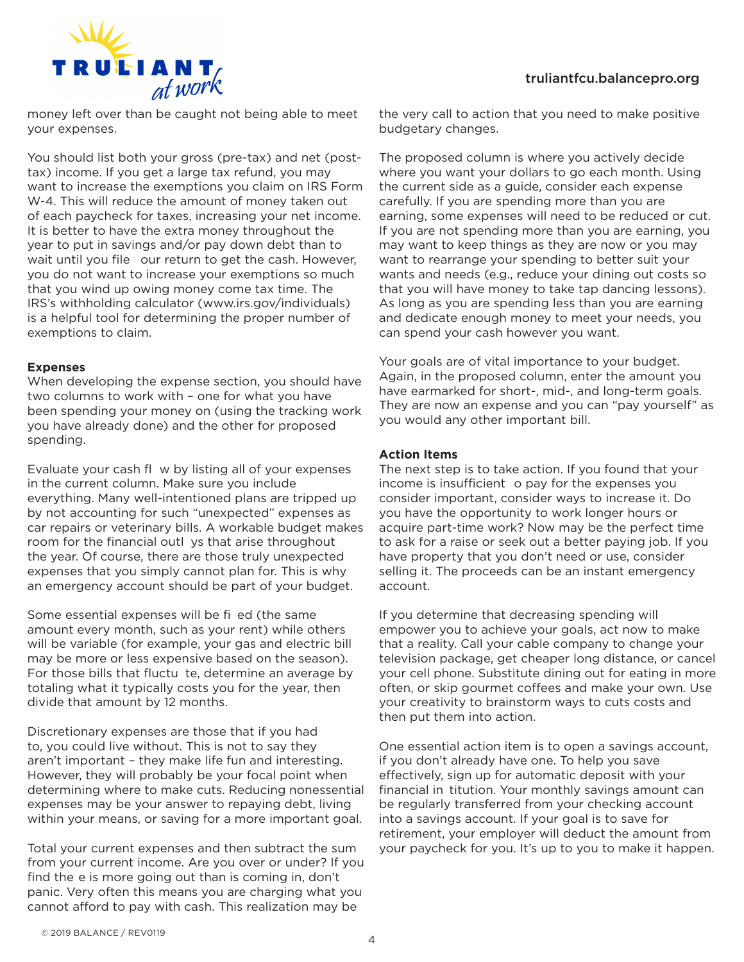

money left over than be caught not being able to meet your expenses.

You should list both your gross (pre-tax) and net (posttax) income. If you get a large tax refund, you may want to increase the exemptions you claim on IRS Form W-4. This will reduce the amount of money taken out of each paycheck for taxes, increasing your net income. It is better to have the extra money throughout the year to put in savings and/or pay down debt than to wait until you file our return to get the cash. However, you do not want to increase your exemptions so much that you wind up owing money come tax time. The IRS's withholding calculator (www.irs.gov/individuals) is a helpful tool for determining the proper number of exemptions to claim.

#### **Expenses**

When developing the expense section, you should have two columns to work with – one for what you have been spending your money on (using the tracking work you have already done) and the other for proposed spending.

Evaluate your cash fl w by listing all of your expenses in the current column. Make sure you include everything. Many well-intentioned plans are tripped up by not accounting for such "unexpected" expenses as car repairs or veterinary bills. A workable budget makes room for the financial outl ys that arise throughout the year. Of course, there are those truly unexpected expenses that you simply cannot plan for. This is why an emergency account should be part of your budget.

Some essential expenses will be fi ed (the same amount every month, such as your rent) while others will be variable (for example, your gas and electric bill may be more or less expensive based on the season). For those bills that fluctu te, determine an average by totaling what it typically costs you for the year, then divide that amount by 12 months.

Discretionary expenses are those that if you had to, you could live without. This is not to say they aren't important – they make life fun and interesting. However, they will probably be your focal point when determining where to make cuts. Reducing nonessential expenses may be your answer to repaying debt, living within your means, or saving for a more important goal.

Total your current expenses and then subtract the sum from your current income. Are you over or under? If you find the e is more going out than is coming in, don't panic. Very often this means you are charging what you cannot afford to pay with cash. This realization may be

the very call to action that you need to make positive budgetary changes.

The proposed column is where you actively decide where you want your dollars to go each month. Using the current side as a guide, consider each expense carefully. If you are spending more than you are earning, some expenses will need to be reduced or cut. If you are not spending more than you are earning, you may want to keep things as they are now or you may want to rearrange your spending to better suit your wants and needs (e.g., reduce your dining out costs so that you will have money to take tap dancing lessons). As long as you are spending less than you are earning and dedicate enough money to meet your needs, you can spend your cash however you want.

Your goals are of vital importance to your budget. Again, in the proposed column, enter the amount you have earmarked for short-, mid-, and long-term goals. They are now an expense and you can "pay yourself" as you would any other important bill.

# **Action Items**

The next step is to take action. If you found that your income is insufficient o pay for the expenses you consider important, consider ways to increase it. Do you have the opportunity to work longer hours or acquire part-time work? Now may be the perfect time to ask for a raise or seek out a better paying job. If you have property that you don't need or use, consider selling it. The proceeds can be an instant emergency account.

If you determine that decreasing spending will empower you to achieve your goals, act now to make that a reality. Call your cable company to change your television package, get cheaper long distance, or cancel your cell phone. Substitute dining out for eating in more often, or skip gourmet coffees and make your own. Use your creativity to brainstorm ways to cuts costs and then put them into action.

One essential action item is to open a savings account, if you don't already have one. To help you save effectively, sign up for automatic deposit with your financial in titution. Your monthly savings amount can be regularly transferred from your checking account into a savings account. If your goal is to save for retirement, your employer will deduct the amount from your paycheck for you. It's up to you to make it happen.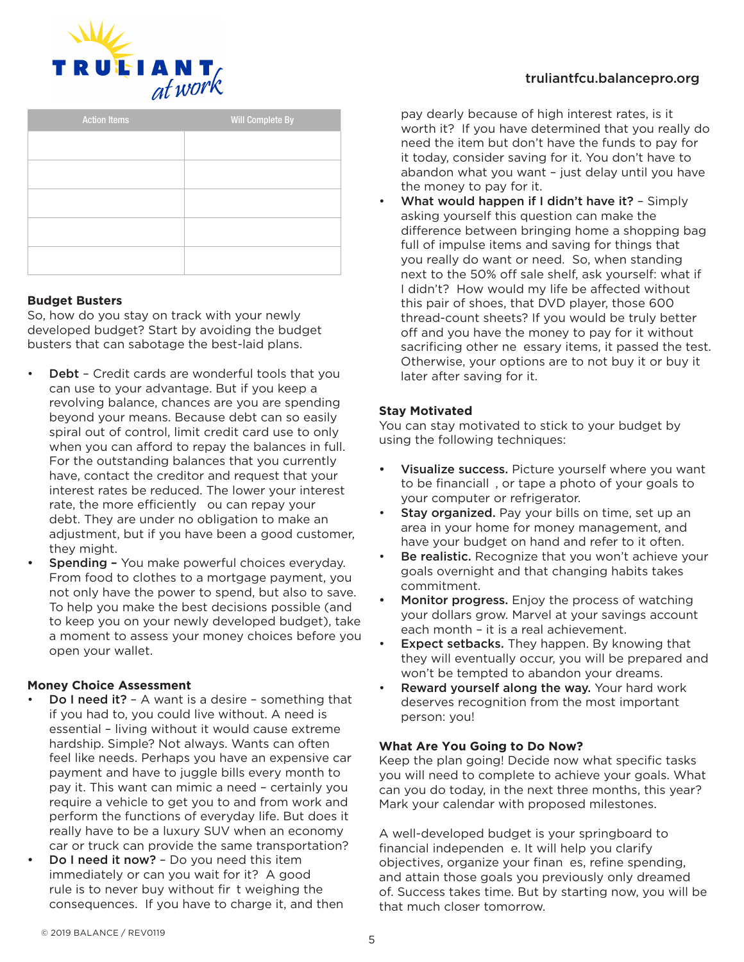

| <b>Action Items</b> | Will Complete By |  |  |
|---------------------|------------------|--|--|
|                     |                  |  |  |
|                     |                  |  |  |
|                     |                  |  |  |
|                     |                  |  |  |
|                     |                  |  |  |
|                     |                  |  |  |
|                     |                  |  |  |

#### **Budget Busters**

So, how do you stay on track with your newly developed budget? Start by avoiding the budget busters that can sabotage the best-laid plans.

- Debt Credit cards are wonderful tools that you can use to your advantage. But if you keep a revolving balance, chances are you are spending beyond your means. Because debt can so easily spiral out of control, limit credit card use to only when you can afford to repay the balances in full. For the outstanding balances that you currently have, contact the creditor and request that your interest rates be reduced. The lower your interest rate, the more efficiently ou can repay your debt. They are under no obligation to make an adjustment, but if you have been a good customer, they might.
- Spending You make powerful choices everyday. From food to clothes to a mortgage payment, you not only have the power to spend, but also to save. To help you make the best decisions possible (and to keep you on your newly developed budget), take a moment to assess your money choices before you open your wallet.

# **Money Choice Assessment**

- **Do I need it?** A want is a desire something that if you had to, you could live without. A need is essential – living without it would cause extreme hardship. Simple? Not always. Wants can often feel like needs. Perhaps you have an expensive car payment and have to juggle bills every month to pay it. This want can mimic a need – certainly you require a vehicle to get you to and from work and perform the functions of everyday life. But does it really have to be a luxury SUV when an economy car or truck can provide the same transportation?
- Do I need it now? Do you need this item immediately or can you wait for it? A good rule is to never buy without fir t weighing the consequences. If you have to charge it, and then

pay dearly because of high interest rates, is it worth it? If you have determined that you really do need the item but don't have the funds to pay for it today, consider saving for it. You don't have to abandon what you want – just delay until you have the money to pay for it.

What would happen if I didn't have it? - Simply asking yourself this question can make the difference between bringing home a shopping bag full of impulse items and saving for things that you really do want or need. So, when standing next to the 50% off sale shelf, ask yourself: what if I didn't? How would my life be affected without this pair of shoes, that DVD player, those 600 thread-count sheets? If you would be truly better off and you have the money to pay for it without sacrificing other ne essary items, it passed the test. Otherwise, your options are to not buy it or buy it later after saving for it.

# **Stay Motivated**

You can stay motivated to stick to your budget by using the following techniques:

- Visualize success. Picture yourself where you want to be financiall , or tape a photo of your goals to your computer or refrigerator.
- Stay organized. Pay your bills on time, set up an area in your home for money management, and have your budget on hand and refer to it often.
- Be realistic. Recognize that you won't achieve your goals overnight and that changing habits takes commitment.
- Monitor progress. Enjoy the process of watching your dollars grow. Marvel at your savings account each month – it is a real achievement.
- **Expect setbacks.** They happen. By knowing that they will eventually occur, you will be prepared and won't be tempted to abandon your dreams.
- Reward yourself along the way. Your hard work deserves recognition from the most important person: you!

# **What Are You Going to Do Now?**

Keep the plan going! Decide now what specific tasks you will need to complete to achieve your goals. What can you do today, in the next three months, this year? Mark your calendar with proposed milestones.

A well-developed budget is your springboard to financial independen e. It will help you clarify objectives, organize your finan es, refine spending, and attain those goals you previously only dreamed of. Success takes time. But by starting now, you will be that much closer tomorrow.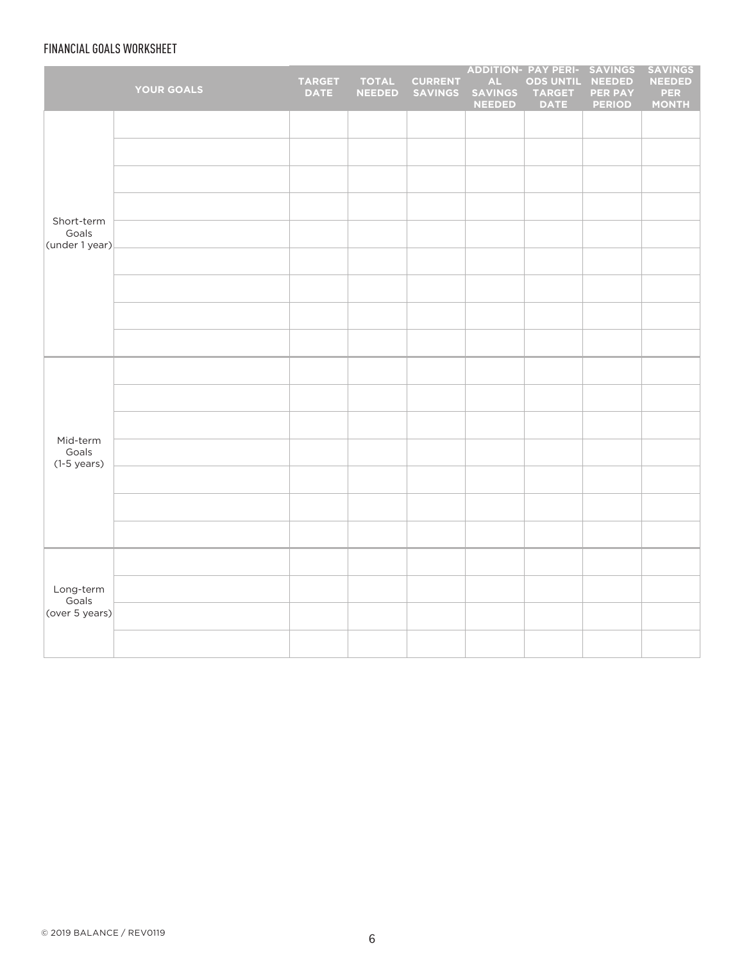# FINANCIAL GOALS WORKSHEET

|                                       | <b>YOUR GOALS</b> | TARGET<br><b>DATE</b> | <b>TOTAL</b><br><b>NEEDED</b> | <b>CURRENT</b><br><b>SAVINGS</b> | $\mathsf{AL}$<br><b>SAVINGS</b><br><b>NEEDED</b> | ADDITION- PAY PERI- SAVINGS<br><b>ODS UNTIL</b><br><b>TARGET</b><br><b>DATE</b> | <b>NEEDED</b><br><b>PER PAY</b><br><b>PERIOD</b> | <b>SAVINGS</b><br><b>NEEDED</b><br><b>PER</b><br><b>MONTH</b> |
|---------------------------------------|-------------------|-----------------------|-------------------------------|----------------------------------|--------------------------------------------------|---------------------------------------------------------------------------------|--------------------------------------------------|---------------------------------------------------------------|
|                                       |                   |                       |                               |                                  |                                                  |                                                                                 |                                                  |                                                               |
|                                       |                   |                       |                               |                                  |                                                  |                                                                                 |                                                  |                                                               |
|                                       |                   |                       |                               |                                  |                                                  |                                                                                 |                                                  |                                                               |
|                                       |                   |                       |                               |                                  |                                                  |                                                                                 |                                                  |                                                               |
| Short-term<br>Goals<br>(under 1 year) |                   |                       |                               |                                  |                                                  |                                                                                 |                                                  |                                                               |
|                                       |                   |                       |                               |                                  |                                                  |                                                                                 |                                                  |                                                               |
|                                       |                   |                       |                               |                                  |                                                  |                                                                                 |                                                  |                                                               |
|                                       |                   |                       |                               |                                  |                                                  |                                                                                 |                                                  |                                                               |
|                                       |                   |                       |                               |                                  |                                                  |                                                                                 |                                                  |                                                               |
|                                       |                   |                       |                               |                                  |                                                  |                                                                                 |                                                  |                                                               |
|                                       |                   |                       |                               |                                  |                                                  |                                                                                 |                                                  |                                                               |
| Mid-term                              |                   |                       |                               |                                  |                                                  |                                                                                 |                                                  |                                                               |
| Goals<br>$(1-5 \text{ years})$        |                   |                       |                               |                                  |                                                  |                                                                                 |                                                  |                                                               |
|                                       |                   |                       |                               |                                  |                                                  |                                                                                 |                                                  |                                                               |
|                                       |                   |                       |                               |                                  |                                                  |                                                                                 |                                                  |                                                               |
|                                       |                   |                       |                               |                                  |                                                  |                                                                                 |                                                  |                                                               |
| Long-term<br>Goals<br>(over 5 years)  |                   |                       |                               |                                  |                                                  |                                                                                 |                                                  |                                                               |
|                                       |                   |                       |                               |                                  |                                                  |                                                                                 |                                                  |                                                               |
|                                       |                   |                       |                               |                                  |                                                  |                                                                                 |                                                  |                                                               |
|                                       |                   |                       |                               |                                  |                                                  |                                                                                 |                                                  |                                                               |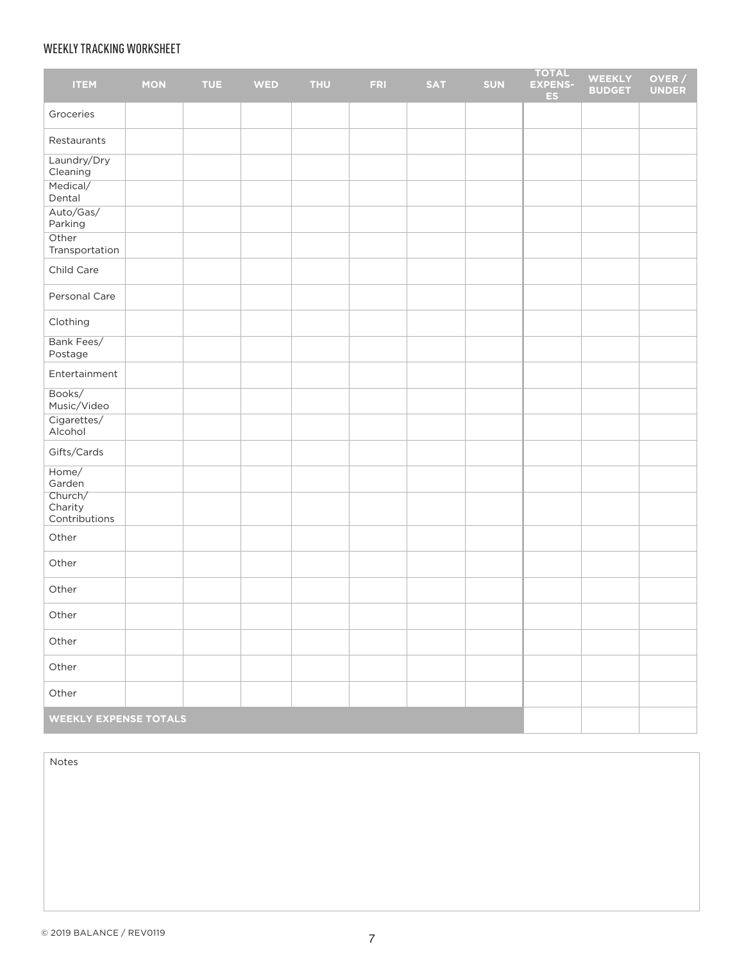# WEEKLY TRACKING WORKSHEET

| <b>ITEM</b>                         | <b>MON</b> | <b>TUE</b> | <b>WED</b> | <b>THU</b> | <b>FRI</b> | <b>SAT</b> | <b>SUN</b> | <b>TOTAL</b><br><b>EXPENS-</b><br>ES. | <b>WEEKLY</b><br><b>BUDGET</b> | OVER /<br><b>UNDER</b> |
|-------------------------------------|------------|------------|------------|------------|------------|------------|------------|---------------------------------------|--------------------------------|------------------------|
| Groceries                           |            |            |            |            |            |            |            |                                       |                                |                        |
| Restaurants                         |            |            |            |            |            |            |            |                                       |                                |                        |
| Laundry/Dry<br>Cleaning             |            |            |            |            |            |            |            |                                       |                                |                        |
| Medical/<br>Dental                  |            |            |            |            |            |            |            |                                       |                                |                        |
| Auto/Gas/<br>Parking                |            |            |            |            |            |            |            |                                       |                                |                        |
| Other<br>Transportation             |            |            |            |            |            |            |            |                                       |                                |                        |
| Child Care                          |            |            |            |            |            |            |            |                                       |                                |                        |
| Personal Care                       |            |            |            |            |            |            |            |                                       |                                |                        |
| Clothing                            |            |            |            |            |            |            |            |                                       |                                |                        |
| Bank Fees/<br>Postage               |            |            |            |            |            |            |            |                                       |                                |                        |
| Entertainment                       |            |            |            |            |            |            |            |                                       |                                |                        |
| Books/<br>Music/Video               |            |            |            |            |            |            |            |                                       |                                |                        |
| Cigarettes/<br>Alcohol              |            |            |            |            |            |            |            |                                       |                                |                        |
| Gifts/Cards                         |            |            |            |            |            |            |            |                                       |                                |                        |
| Home/<br>Garden                     |            |            |            |            |            |            |            |                                       |                                |                        |
| Church/<br>Charity<br>Contributions |            |            |            |            |            |            |            |                                       |                                |                        |
| Other                               |            |            |            |            |            |            |            |                                       |                                |                        |
| Other                               |            |            |            |            |            |            |            |                                       |                                |                        |
| Other                               |            |            |            |            |            |            |            |                                       |                                |                        |
| Other                               |            |            |            |            |            |            |            |                                       |                                |                        |
| Other                               |            |            |            |            |            |            |            |                                       |                                |                        |
| Other                               |            |            |            |            |            |            |            |                                       |                                |                        |
| Other                               |            |            |            |            |            |            |            |                                       |                                |                        |
| <b>WEEKLY EXPENSE TOTALS</b>        |            |            |            |            |            |            |            |                                       |                                |                        |

Notes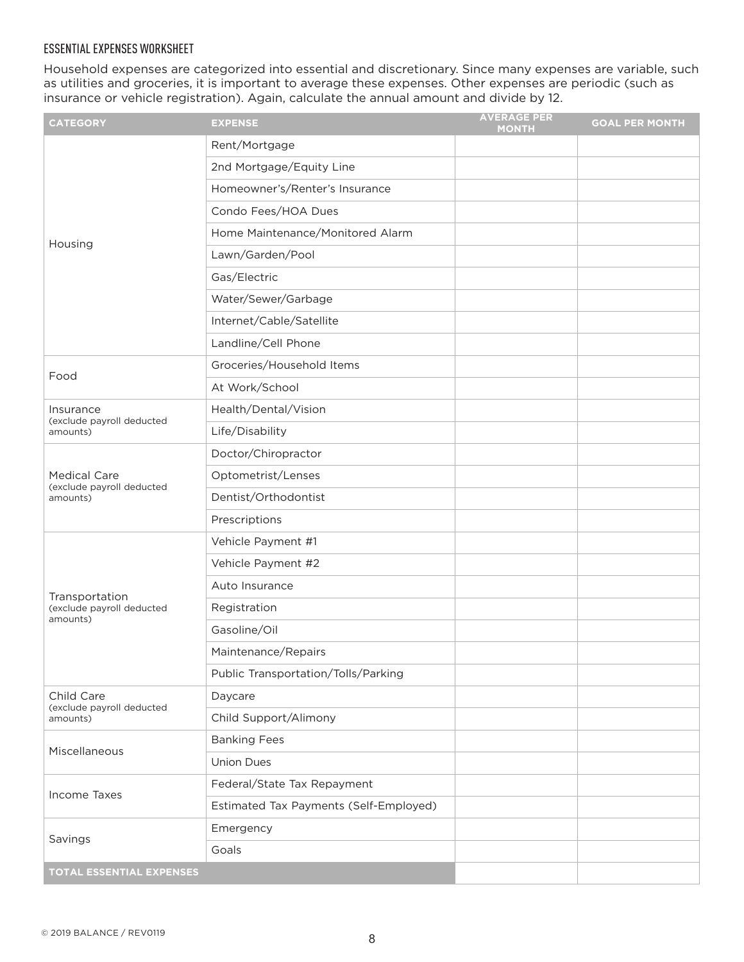# ESSENTIAL EXPENSES WORKSHEET

Household expenses are categorized into essential and discretionary. Since many expenses are variable, such as utilities and groceries, it is important to average these expenses. Other expenses are periodic (such as insurance or vehicle registration). Again, calculate the annual amount and divide by 12.

| <b>CATEGORY</b>                                  | <b>EXPENSE</b>                         | <b>AVERAGE PER</b><br><b>MONTH</b> | <b>GOAL PER MONTH</b> |
|--------------------------------------------------|----------------------------------------|------------------------------------|-----------------------|
|                                                  | Rent/Mortgage                          |                                    |                       |
|                                                  | 2nd Mortgage/Equity Line               |                                    |                       |
| Housing                                          | Homeowner's/Renter's Insurance         |                                    |                       |
|                                                  | Condo Fees/HOA Dues                    |                                    |                       |
|                                                  | Home Maintenance/Monitored Alarm       |                                    |                       |
|                                                  | Lawn/Garden/Pool                       |                                    |                       |
|                                                  | Gas/Electric                           |                                    |                       |
|                                                  | Water/Sewer/Garbage                    |                                    |                       |
|                                                  | Internet/Cable/Satellite               |                                    |                       |
|                                                  | Landline/Cell Phone                    |                                    |                       |
| Food                                             | Groceries/Household Items              |                                    |                       |
|                                                  | At Work/School                         |                                    |                       |
| Insurance<br>(exclude payroll deducted           | Health/Dental/Vision                   |                                    |                       |
| amounts)                                         | Life/Disability                        |                                    |                       |
|                                                  | Doctor/Chiropractor                    |                                    |                       |
| <b>Medical Care</b><br>(exclude payroll deducted | Optometrist/Lenses                     |                                    |                       |
| amounts)                                         | Dentist/Orthodontist                   |                                    |                       |
|                                                  | Prescriptions                          |                                    |                       |
|                                                  | Vehicle Payment #1                     |                                    |                       |
|                                                  | Vehicle Payment #2                     |                                    |                       |
| Transportation                                   | Auto Insurance                         |                                    |                       |
| (exclude payroll deducted<br>amounts)            | Registration                           |                                    |                       |
|                                                  | Gasoline/Oil                           |                                    |                       |
|                                                  | Maintenance/Repairs                    |                                    |                       |
|                                                  | Public Transportation/Tolls/Parking    |                                    |                       |
| Child Care                                       | Daycare                                |                                    |                       |
| (exclude payroll deducted<br>amounts)            | Child Support/Alimony                  |                                    |                       |
| Miscellaneous                                    | <b>Banking Fees</b>                    |                                    |                       |
|                                                  | <b>Union Dues</b>                      |                                    |                       |
| Income Taxes                                     | Federal/State Tax Repayment            |                                    |                       |
|                                                  | Estimated Tax Payments (Self-Employed) |                                    |                       |
| Savings                                          | Emergency                              |                                    |                       |
|                                                  | Goals                                  |                                    |                       |
| <b>TOTAL ESSENTIAL EXPENSES</b>                  |                                        |                                    |                       |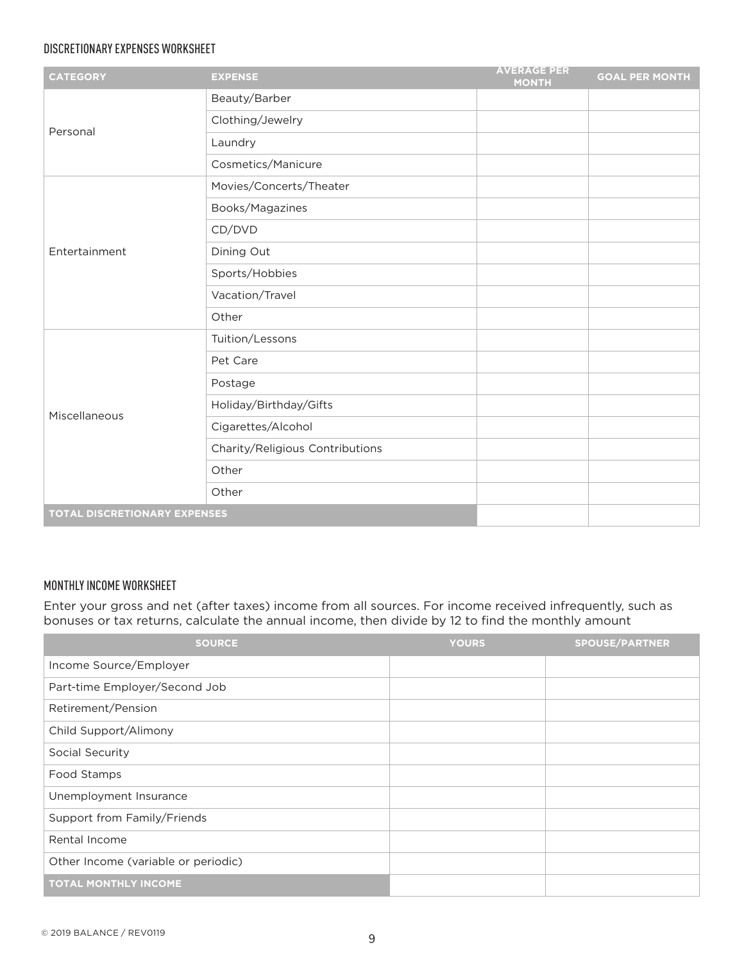# DISCRETIONARY EXPENSES WORKSHEET

| <b>CATEGORY</b>                     | <b>EXPENSE</b>                  | <b>AVERAGE PER</b><br><b>MONTH</b> | <b>GOAL PER MONTH</b> |
|-------------------------------------|---------------------------------|------------------------------------|-----------------------|
| Personal                            | Beauty/Barber                   |                                    |                       |
|                                     | Clothing/Jewelry                |                                    |                       |
|                                     | Laundry                         |                                    |                       |
|                                     | Cosmetics/Manicure              |                                    |                       |
|                                     | Movies/Concerts/Theater         |                                    |                       |
|                                     | Books/Magazines                 |                                    |                       |
|                                     | CD/DVD                          |                                    |                       |
| Entertainment                       | Dining Out                      |                                    |                       |
|                                     | Sports/Hobbies                  |                                    |                       |
|                                     | Vacation/Travel                 |                                    |                       |
|                                     | Other                           |                                    |                       |
|                                     | Tuition/Lessons                 |                                    |                       |
|                                     | Pet Care                        |                                    |                       |
|                                     | Postage                         |                                    |                       |
| Miscellaneous                       | Holiday/Birthday/Gifts          |                                    |                       |
|                                     | Cigarettes/Alcohol              |                                    |                       |
|                                     | Charity/Religious Contributions |                                    |                       |
|                                     | Other                           |                                    |                       |
|                                     | Other                           |                                    |                       |
| <b>TOTAL DISCRETIONARY EXPENSES</b> |                                 |                                    |                       |

# MONTHLY INCOME WORKSHEET

Enter your gross and net (after taxes) income from all sources. For income received infrequently, such as bonuses or tax returns, calculate the annual income, then divide by 12 to find the monthly amount

| <b>SOURCE</b>                       | <b>YOURS</b> | <b>SPOUSE/PARTNER</b> |
|-------------------------------------|--------------|-----------------------|
| Income Source/Employer              |              |                       |
| Part-time Employer/Second Job       |              |                       |
| Retirement/Pension                  |              |                       |
| Child Support/Alimony               |              |                       |
| Social Security                     |              |                       |
| Food Stamps                         |              |                       |
| Unemployment Insurance              |              |                       |
| Support from Family/Friends         |              |                       |
| Rental Income                       |              |                       |
| Other Income (variable or periodic) |              |                       |
| <b>TOTAL MONTHLY INCOME</b>         |              |                       |